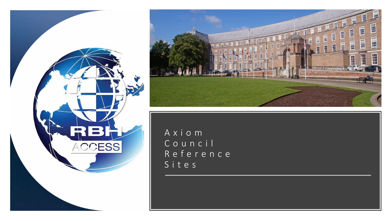



Axiom Council Reference Sites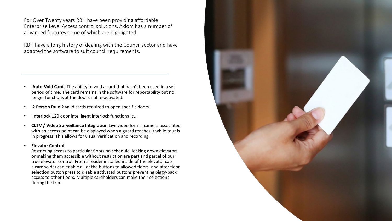For Over Twenty years RBH have been providing affordable Enterprise Level Access control solutions. Axiom has a number of advanced features some of which are highlighted.

RBH have a long history of dealing with the Council sector and have adapted the software to suit council requirements.

- **Auto-Void Cards** The ability to void a card that hasn't been used in a set period of time. The card remains in the software for reportability but no longer functions at the door until re-activated.
- **2 Person Rule** 2 valid cards required to open specific doors.
- **Interlock** 120 door intelligent interlock functionality.
- **CCTV / Video Surveillance Integration** Live video form a camera associated with an access point can be displayed when a guard reaches it while tour is in progress. This allows for visual verification and recording.

#### • **Elevator Control**

Restricting access to particular floors on schedule, locking down elevators or making them accessible without restriction are part and parcel of our true elevator control. From a reader installed inside of the elevator cab a cardholder can enable all of the buttons to allowed floors, and after floor selection button press to disable activated buttons preventing piggy-back access to other floors. Multiple cardholders can make their selections during the trip.

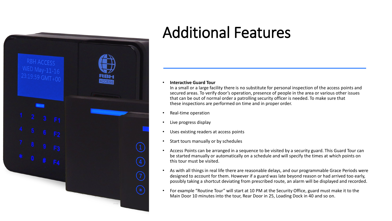

## Additional Features

• **Interactive Guard Tour**

In a small or a large facility there is no substitute for personal inspection of the access points and secured areas. To verify door's operation, presence of people in the area or various other issues that can be out of normal order a patrolling security officer is needed. To make sure that these inspections are performed on time and in proper order.

- Real-time operation
- Live progress display
- Uses existing readers at access points
- Start tours manually or by schedules
- Access Points can be arranged in a sequence to be visited by a security guard. This Guard Tour can be started manually or automatically on a schedule and will specify the times at which points on this tour must be visited.
- As with all things in real life there are reasonable delays, and our programmable Grace Periods were designed to account for them. However if a guard was late beyond reason or had arrived too early, possibly taking a shortcut deviating from prescribed route, an alarm will be displayed and recorded.
- For example "Routine Tour" will start at 10 PM at the Security Office, guard must make it to the Main Door 10 minutes into the tour, Rear Door in 25, Loading Dock in 40 and so on.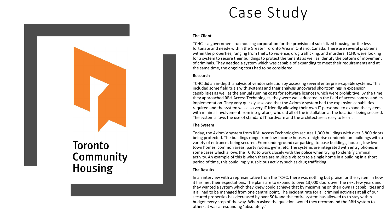### Case Study

#### **The Client**

TCHC is a government-run housing corporation for the provision of subsidized housing for the less fortunate and needy within the Greater Toronto Area in Ontario, Canada. There are several problems within the properties, ranging from theft, to violence, drug trafficking, and murders. TCHC were looking for a system to secure their buildings to protect the tenants as well as identify the pattern of movement of criminals. They needed a system which was capable of expanding to meet their requirements and at the same time, the ongoing costs had to be considered.

#### **Research**

TCHC did an in-depth analysis of vendor selection by assessing several enterprise-capable systems. This included some field trials with systems and their analysis uncovered shortcomings in expansion capabilities as well as the annual running costs for software licences which were prohibitive. By the time they approached RBH Access Technologies, they were well educated in the field of access control and its implementation. They very quickly assessed that the Axiom V system had the expansion capabilities required and the system was also very IT friendly allowing their own IT personnel to expand the system with minimal involvement from integrators, who did all of the installation at the locations being secured. The system allows the use of standard IT hardware and the architecture is easy to learn.

#### **The System**

Today, the Axiom V system from RBH Access Technologies secures 1,300 buildings with over 3,800 doors being protected. The buildings range from low-income houses to high-rise condominium buildings with a variety of entrances being secured. From underground car parking, to base buildings, houses, low level town homes, common areas, party rooms, gyms, etc. The systems are integrated with entry phones in some cases which allows the TCHC to work closely with the police when trying to identify criminal activity. An example of this is when there are multiple visitors to a single home in a building in a short period of time, this could imply suspicious activity such as drug trafficking.

#### **The Results**

In an interview with a representative from the TCHC, there was nothing but praise for the system in how it has met their expectations. The plans are to expand to over 13,000 doors over the next few years and they wanted a system which they knew could achieve that by maximizing on their own IT capabilities and it all had to be managed from one central point. The incident rate for all criminal activities at all of our secured properties has decreased by over 50% and the entire system has allowed us to stay within budget every step of the way. When asked the question, would they recommend the RBH system to others, it was a resounding "absolutely."

### **Toronto** Community **Housing**